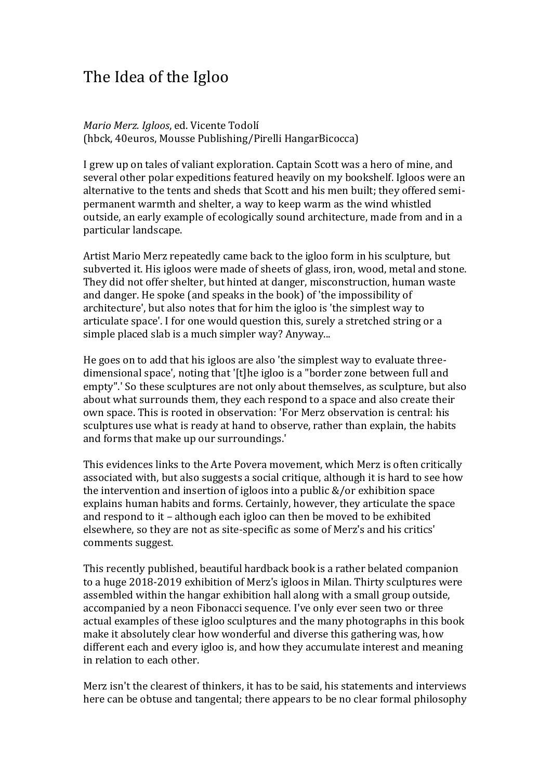## The Idea of the Igloo

*Mario Merz. Igloos*, ed. Vicente Todolí (hbck, 40euros, Mousse Publishing/Pirelli HangarBicocca)

I grew up on tales of valiant exploration. Captain Scott was a hero of mine, and several other polar expeditions featured heavily on my bookshelf. Igloos were an alternative to the tents and sheds that Scott and his men built; they offered semipermanent warmth and shelter, a way to keep warm as the wind whistled outside, an early example of ecologically sound architecture, made from and in a particular landscape.

Artist Mario Merz repeatedly came back to the igloo form in his sculpture, but subverted it. His igloos were made of sheets of glass, iron, wood, metal and stone. They did not offer shelter, but hinted at danger, misconstruction, human waste and danger. He spoke (and speaks in the book) of 'the impossibility of architecture', but also notes that for him the igloo is 'the simplest way to articulate space'. I for one would question this, surely a stretched string or a simple placed slab is a much simpler way? Anyway...

He goes on to add that his igloos are also 'the simplest way to evaluate threedimensional space', noting that '[t]he igloo is a "border zone between full and empty".' So these sculptures are not only about themselves, as sculpture, but also about what surrounds them, they each respond to a space and also create their own space. This is rooted in observation: 'For Merz observation is central: his sculptures use what is ready at hand to observe, rather than explain, the habits and forms that make up our surroundings.'

This evidences links to the Arte Povera movement, which Merz is often critically associated with, but also suggests a social critique, although it is hard to see how the intervention and insertion of igloos into a public &/or exhibition space explains human habits and forms. Certainly, however, they articulate the space and respond to it – although each igloo can then be moved to be exhibited elsewhere, so they are not as site-specific as some of Merz's and his critics' comments suggest.

This recently published, beautiful hardback book is a rather belated companion to a huge 2018-2019 exhibition of Merz's igloos in Milan. Thirty sculptures were assembled within the hangar exhibition hall along with a small group outside, accompanied by a neon Fibonacci sequence. I've only ever seen two or three actual examples of these igloo sculptures and the many photographs in this book make it absolutely clear how wonderful and diverse this gathering was, how different each and every igloo is, and how they accumulate interest and meaning in relation to each other.

Merz isn't the clearest of thinkers, it has to be said, his statements and interviews here can be obtuse and tangental; there appears to be no clear formal philosophy